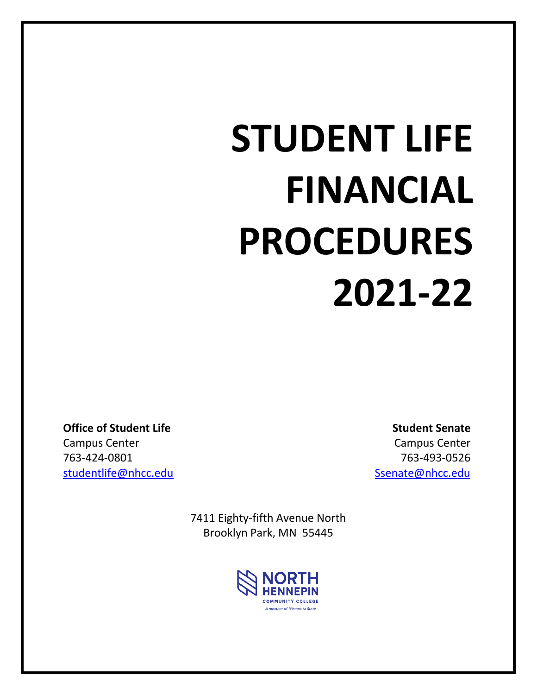# **STUDENT LIFE FINANCIAL PROCEDURES 2021-22**

**Office of Student Life Student Senate** Student Senate Campus Center Campus Center 763-424-0801 763-493-0526 [studentlife@nhcc.edu](mailto:studentlife@nhcc.edu) [Ssenate@nhcc.edu](mailto:Ssenate@nhcc.edu)

7411 Eighty-fifth Avenue North Brooklyn Park, MN 55445

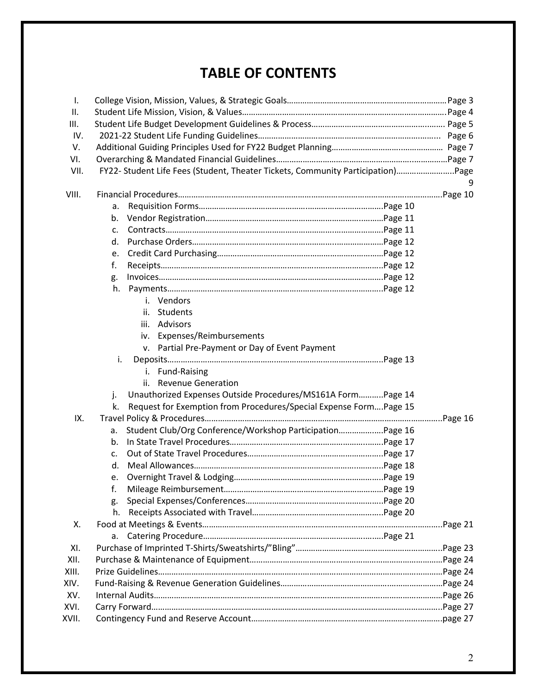# **TABLE OF CONTENTS**

| Ι.    |                                                                                 |  |
|-------|---------------------------------------------------------------------------------|--|
| ΙΙ.   |                                                                                 |  |
| Ш.    |                                                                                 |  |
| IV.   |                                                                                 |  |
| V.    |                                                                                 |  |
| VI.   |                                                                                 |  |
| VII.  | FY22- Student Life Fees (Student, Theater Tickets, Community Participation)Page |  |
|       |                                                                                 |  |
| VIII. |                                                                                 |  |
|       | а.                                                                              |  |
|       | b.                                                                              |  |
|       | $\mathsf{C}$ .                                                                  |  |
|       | d.                                                                              |  |
|       | e.                                                                              |  |
|       | f.                                                                              |  |
|       | g.                                                                              |  |
|       |                                                                                 |  |
|       | i. Vendors                                                                      |  |
|       | ii. Students                                                                    |  |
|       | iii. Advisors                                                                   |  |
|       | iv. Expenses/Reimbursements                                                     |  |
|       | v. Partial Pre-Payment or Day of Event Payment                                  |  |
|       | i.                                                                              |  |
|       | i. Fund-Raising                                                                 |  |
|       | ii. Revenue Generation                                                          |  |
|       | Unauthorized Expenses Outside Procedures/MS161A Form Page 14<br>j.              |  |
|       | Request for Exemption from Procedures/Special Expense FormPage 15<br>k.         |  |
| IX.   |                                                                                 |  |
|       | Student Club/Org Conference/Workshop ParticipationPage 16<br>a.                 |  |
|       | b.                                                                              |  |
|       | $\mathsf{C}$ .                                                                  |  |
|       | d.                                                                              |  |
|       | e.                                                                              |  |
|       |                                                                                 |  |
|       | g.                                                                              |  |
|       | h.                                                                              |  |
| Χ.    |                                                                                 |  |
|       |                                                                                 |  |
| XI.   |                                                                                 |  |
| XII.  |                                                                                 |  |
| XIII. |                                                                                 |  |
| XIV.  |                                                                                 |  |
| XV.   |                                                                                 |  |
| XVI.  |                                                                                 |  |
| XVII. |                                                                                 |  |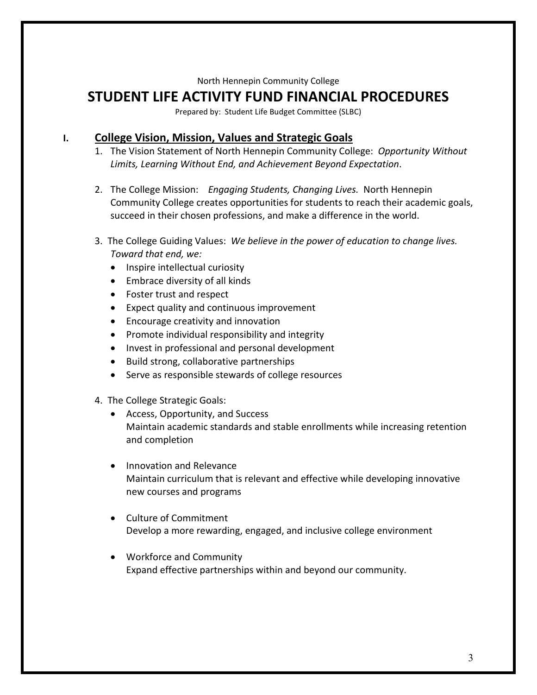North Hennepin Community College

# **STUDENT LIFE ACTIVITY FUND FINANCIAL PROCEDURES**

Prepared by: Student Life Budget Committee (SLBC)

# **I. College Vision, Mission, Values and Strategic Goals**

- 1. The Vision Statement of North Hennepin Community College: *Opportunity Without Limits, Learning Without End, and Achievement Beyond Expectation*.
- 2. The College Mission: *Engaging Students, Changing Lives.* North Hennepin Community College creates opportunities for students to reach their academic goals, succeed in their chosen professions, and make a difference in the world.
- 3. The College Guiding Values: *We believe in the power of education to change lives. Toward that end, we:*
	- Inspire intellectual curiosity
	- Embrace diversity of all kinds
	- Foster trust and respect
	- Expect quality and continuous improvement
	- Encourage creativity and innovation
	- Promote individual responsibility and integrity
	- Invest in professional and personal development
	- Build strong, collaborative partnerships
	- Serve as responsible stewards of college resources
- 4. The College Strategic Goals:
	- Access, Opportunity, and Success Maintain academic standards and stable enrollments while increasing retention and completion
	- Innovation and Relevance Maintain curriculum that is relevant and effective while developing innovative new courses and programs
	- Culture of Commitment Develop a more rewarding, engaged, and inclusive college environment
	- Workforce and Community Expand effective partnerships within and beyond our community.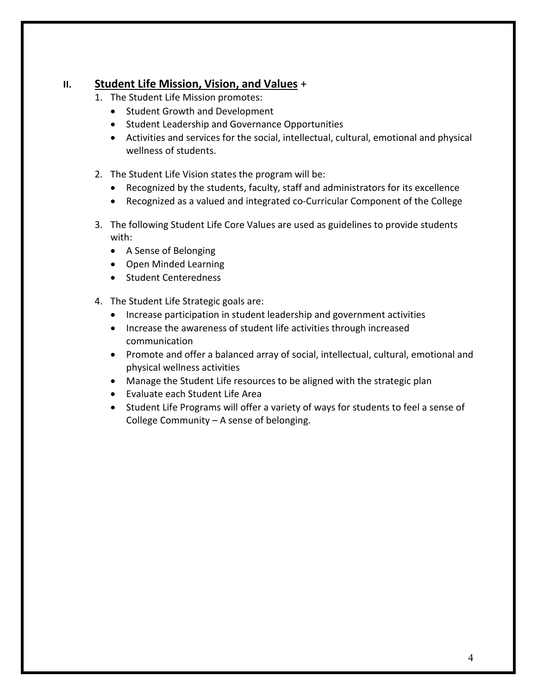# **II. Student Life Mission, Vision, and Values** +

- 1. The Student Life Mission promotes:
	- Student Growth and Development
	- Student Leadership and Governance Opportunities
	- Activities and services for the social, intellectual, cultural, emotional and physical wellness of students.
- 2. The Student Life Vision states the program will be:
	- Recognized by the students, faculty, staff and administrators for its excellence
	- Recognized as a valued and integrated co-Curricular Component of the College
- 3. The following Student Life Core Values are used as guidelines to provide students with:
	- A Sense of Belonging
	- Open Minded Learning
	- Student Centeredness
- 4. The Student Life Strategic goals are:
	- Increase participation in student leadership and government activities
	- Increase the awareness of student life activities through increased communication
	- Promote and offer a balanced array of social, intellectual, cultural, emotional and physical wellness activities
	- Manage the Student Life resources to be aligned with the strategic plan
	- Evaluate each Student Life Area
	- Student Life Programs will offer a variety of ways for students to feel a sense of College Community – A sense of belonging.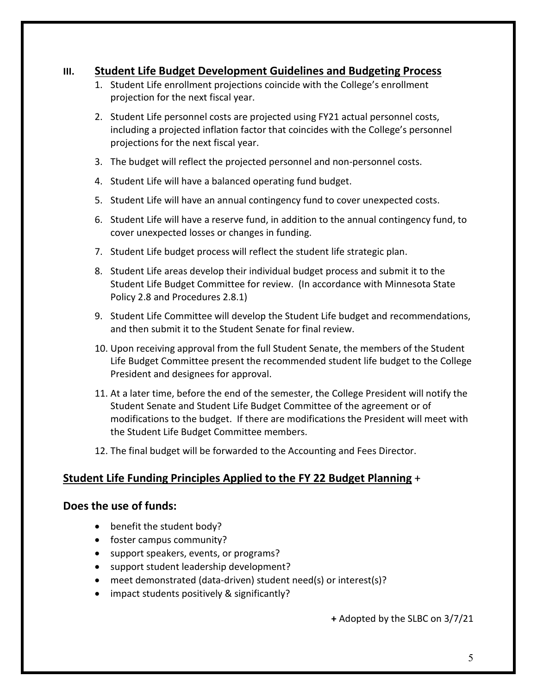# **III. Student Life Budget Development Guidelines and Budgeting Process**

- 1. Student Life enrollment projections coincide with the College's enrollment projection for the next fiscal year.
- 2. Student Life personnel costs are projected using FY21 actual personnel costs, including a projected inflation factor that coincides with the College's personnel projections for the next fiscal year.
- 3. The budget will reflect the projected personnel and non-personnel costs.
- 4. Student Life will have a balanced operating fund budget.
- 5. Student Life will have an annual contingency fund to cover unexpected costs.
- 6. Student Life will have a reserve fund, in addition to the annual contingency fund, to cover unexpected losses or changes in funding.
- 7. Student Life budget process will reflect the student life strategic plan.
- 8. Student Life areas develop their individual budget process and submit it to the Student Life Budget Committee for review. (In accordance with Minnesota State Policy 2.8 and Procedures 2.8.1)
- 9. Student Life Committee will develop the Student Life budget and recommendations, and then submit it to the Student Senate for final review.
- 10. Upon receiving approval from the full Student Senate, the members of the Student Life Budget Committee present the recommended student life budget to the College President and designees for approval.
- 11. At a later time, before the end of the semester, the College President will notify the Student Senate and Student Life Budget Committee of the agreement or of modifications to the budget. If there are modifications the President will meet with the Student Life Budget Committee members.
- 12. The final budget will be forwarded to the Accounting and Fees Director.

# **Student Life Funding Principles Applied to the FY 22 Budget Planning** +

#### **Does the use of funds:**

- benefit the student body?
- foster campus community?
- support speakers, events, or programs?
- support student leadership development?
- meet demonstrated (data-driven) student need(s) or interest(s)?
- impact students positively & significantly?

#### **+** Adopted by the SLBC on 3/7/21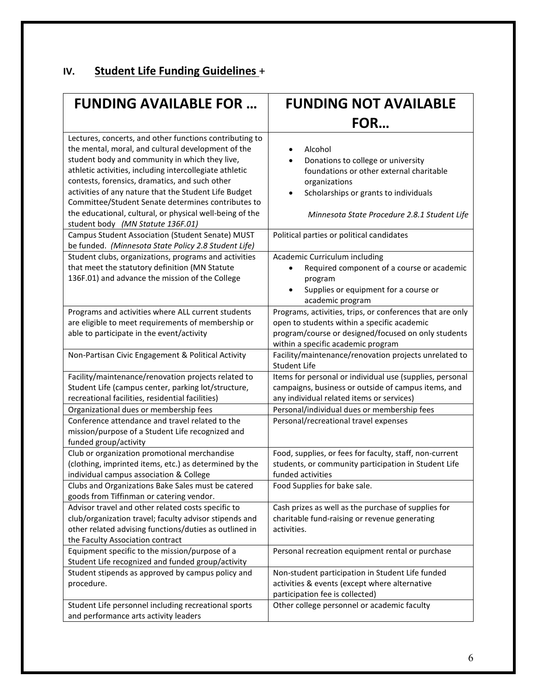# **IV. Student Life Funding Guidelines** +

| <b>FUNDING AVAILABLE FOR </b>                                                                                                                                                                                                                                                                                                                                                                                                                                                                | <b>FUNDING NOT AVAILABLE</b>                                                                                                                                                                                                  |  |
|----------------------------------------------------------------------------------------------------------------------------------------------------------------------------------------------------------------------------------------------------------------------------------------------------------------------------------------------------------------------------------------------------------------------------------------------------------------------------------------------|-------------------------------------------------------------------------------------------------------------------------------------------------------------------------------------------------------------------------------|--|
|                                                                                                                                                                                                                                                                                                                                                                                                                                                                                              | FOR                                                                                                                                                                                                                           |  |
| Lectures, concerts, and other functions contributing to<br>the mental, moral, and cultural development of the<br>student body and community in which they live,<br>athletic activities, including intercollegiate athletic<br>contests, forensics, dramatics, and such other<br>activities of any nature that the Student Life Budget<br>Committee/Student Senate determines contributes to<br>the educational, cultural, or physical well-being of the<br>student body (MN Statute 136F.01) | Alcohol<br>$\bullet$<br>Donations to college or university<br>foundations or other external charitable<br>organizations<br>Scholarships or grants to individuals<br>$\bullet$<br>Minnesota State Procedure 2.8.1 Student Life |  |
| Campus Student Association (Student Senate) MUST<br>be funded. (Minnesota State Policy 2.8 Student Life)                                                                                                                                                                                                                                                                                                                                                                                     | Political parties or political candidates                                                                                                                                                                                     |  |
| Student clubs, organizations, programs and activities<br>that meet the statutory definition (MN Statute<br>136F.01) and advance the mission of the College                                                                                                                                                                                                                                                                                                                                   | Academic Curriculum including<br>Required component of a course or academic<br>program<br>Supplies or equipment for a course or<br>$\bullet$<br>academic program                                                              |  |
| Programs and activities where ALL current students<br>are eligible to meet requirements of membership or<br>able to participate in the event/activity                                                                                                                                                                                                                                                                                                                                        | Programs, activities, trips, or conferences that are only<br>open to students within a specific academic<br>program/course or designed/focused on only students<br>within a specific academic program                         |  |
| Non-Partisan Civic Engagement & Political Activity                                                                                                                                                                                                                                                                                                                                                                                                                                           | Facility/maintenance/renovation projects unrelated to<br>Student Life                                                                                                                                                         |  |
| Facility/maintenance/renovation projects related to<br>Student Life (campus center, parking lot/structure,<br>recreational facilities, residential facilities)                                                                                                                                                                                                                                                                                                                               | Items for personal or individual use (supplies, personal<br>campaigns, business or outside of campus items, and<br>any individual related items or services)                                                                  |  |
| Organizational dues or membership fees                                                                                                                                                                                                                                                                                                                                                                                                                                                       | Personal/individual dues or membership fees                                                                                                                                                                                   |  |
| Conference attendance and travel related to the<br>mission/purpose of a Student Life recognized and<br>funded group/activity                                                                                                                                                                                                                                                                                                                                                                 | Personal/recreational travel expenses                                                                                                                                                                                         |  |
| Club or organization promotional merchandise<br>(clothing, imprinted items, etc.) as determined by the<br>individual campus association & College                                                                                                                                                                                                                                                                                                                                            | Food, supplies, or fees for faculty, staff, non-current<br>students, or community participation in Student Life<br>funded activities                                                                                          |  |
| Clubs and Organizations Bake Sales must be catered<br>goods from Tiffinman or catering vendor.                                                                                                                                                                                                                                                                                                                                                                                               | Food Supplies for bake sale.                                                                                                                                                                                                  |  |
| Advisor travel and other related costs specific to<br>club/organization travel; faculty advisor stipends and<br>other related advising functions/duties as outlined in<br>the Faculty Association contract                                                                                                                                                                                                                                                                                   | Cash prizes as well as the purchase of supplies for<br>charitable fund-raising or revenue generating<br>activities.                                                                                                           |  |
| Equipment specific to the mission/purpose of a<br>Student Life recognized and funded group/activity                                                                                                                                                                                                                                                                                                                                                                                          | Personal recreation equipment rental or purchase                                                                                                                                                                              |  |
| Student stipends as approved by campus policy and<br>procedure.                                                                                                                                                                                                                                                                                                                                                                                                                              | Non-student participation in Student Life funded<br>activities & events (except where alternative<br>participation fee is collected)                                                                                          |  |
| Student Life personnel including recreational sports<br>and performance arts activity leaders                                                                                                                                                                                                                                                                                                                                                                                                | Other college personnel or academic faculty                                                                                                                                                                                   |  |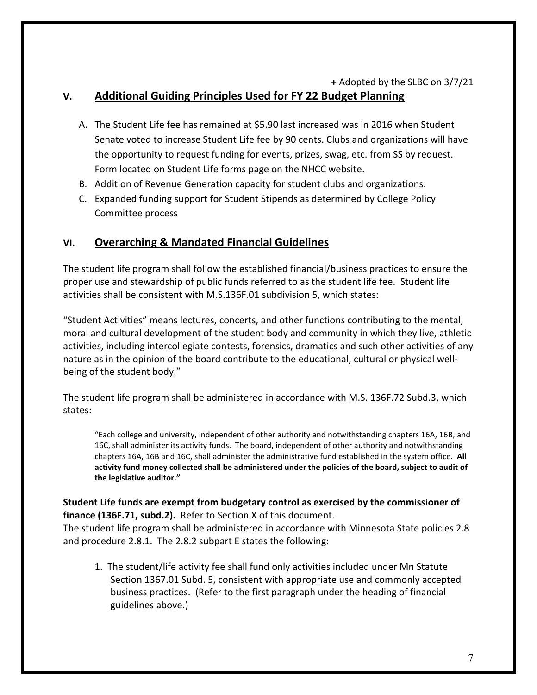## **+** Adopted by the SLBC on 3/7/21 **V. Additional Guiding Principles Used for FY 22 Budget Planning**

- A. The Student Life fee has remained at \$5.90 last increased was in 2016 when Student Senate voted to increase Student Life fee by 90 cents. Clubs and organizations will have the opportunity to request funding for events, prizes, swag, etc. from SS by request. Form located on Student Life forms page on the NHCC website.
- B. Addition of Revenue Generation capacity for student clubs and organizations.
- C. Expanded funding support for Student Stipends as determined by College Policy Committee process

# **VI. Overarching & Mandated Financial Guidelines**

The student life program shall follow the established financial/business practices to ensure the proper use and stewardship of public funds referred to as the student life fee. Student life activities shall be consistent with M.S.136F.01 subdivision 5, which states:

"Student Activities" means lectures, concerts, and other functions contributing to the mental, moral and cultural development of the student body and community in which they live, athletic activities, including intercollegiate contests, forensics, dramatics and such other activities of any nature as in the opinion of the board contribute to the educational, cultural or physical wellbeing of the student body."

The student life program shall be administered in accordance with M.S. 136F.72 Subd.3, which states:

"Each college and university, independent of other authority and notwithstanding chapters 16A, 16B, and 16C, shall administer its activity funds. The board, independent of other authority and notwithstanding chapters 16A, 16B and 16C, shall administer the administrative fund established in the system office. **All activity fund money collected shall be administered under the policies of the board, subject to audit of the legislative auditor."**

**Student Life funds are exempt from budgetary control as exercised by the commissioner of finance (136F.71, subd.2).** Refer to Section X of this document.

The student life program shall be administered in accordance with Minnesota State policies 2.8 and procedure 2.8.1. The 2.8.2 subpart E states the following:

1. The student/life activity fee shall fund only activities included under Mn Statute Section 1367.01 Subd. 5, consistent with appropriate use and commonly accepted business practices. (Refer to the first paragraph under the heading of financial guidelines above.)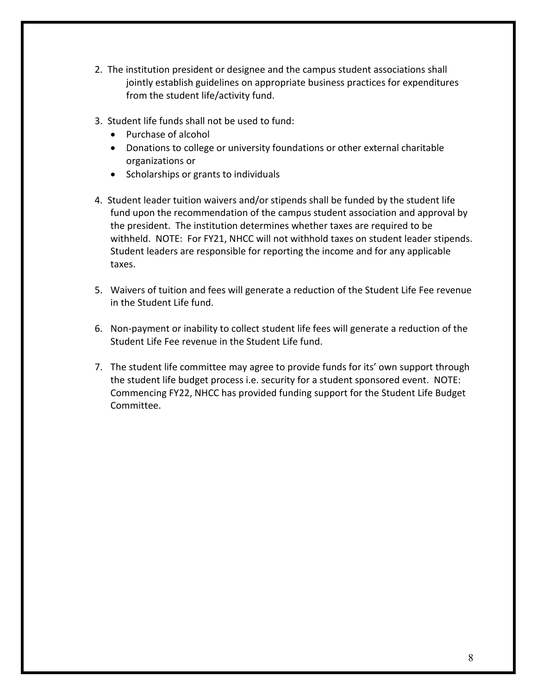- 2. The institution president or designee and the campus student associations shall jointly establish guidelines on appropriate business practices for expenditures from the student life/activity fund.
- 3. Student life funds shall not be used to fund:
	- Purchase of alcohol
	- Donations to college or university foundations or other external charitable organizations or
	- Scholarships or grants to individuals
- 4. Student leader tuition waivers and/or stipends shall be funded by the student life fund upon the recommendation of the campus student association and approval by the president. The institution determines whether taxes are required to be withheld. NOTE: For FY21, NHCC will not withhold taxes on student leader stipends. Student leaders are responsible for reporting the income and for any applicable taxes.
- 5. Waivers of tuition and fees will generate a reduction of the Student Life Fee revenue in the Student Life fund.
- 6. Non-payment or inability to collect student life fees will generate a reduction of the Student Life Fee revenue in the Student Life fund.
- 7. The student life committee may agree to provide funds for its' own support through the student life budget process i.e. security for a student sponsored event. NOTE: Commencing FY22, NHCC has provided funding support for the Student Life Budget Committee.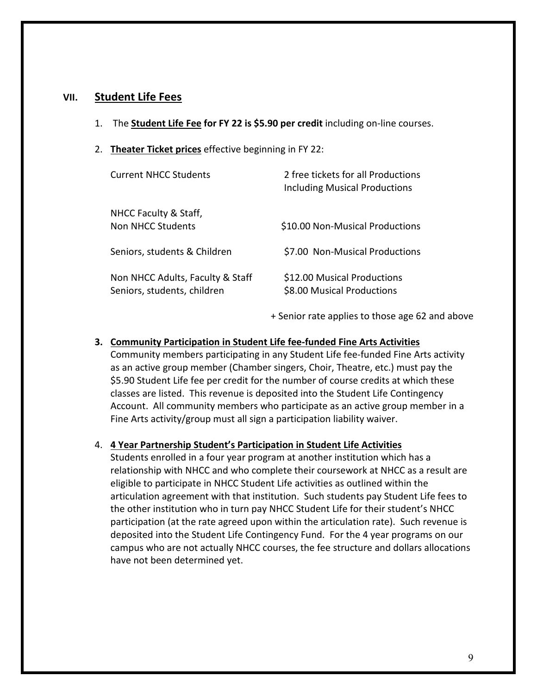#### **VII. Student Life Fees**

- 1. The **Student Life Fee for FY 22 is \$5.90 per credit** including on-line courses.
- 2. **Theater Ticket prices** effective beginning in FY 22:

| <b>Current NHCC Students</b>                                    | 2 free tickets for all Productions<br><b>Including Musical Productions</b> |
|-----------------------------------------------------------------|----------------------------------------------------------------------------|
| NHCC Faculty & Staff,<br>Non NHCC Students                      | \$10.00 Non-Musical Productions                                            |
| Seniors, students & Children                                    | \$7.00 Non-Musical Productions                                             |
| Non NHCC Adults, Faculty & Staff<br>Seniors, students, children | \$12.00 Musical Productions<br>\$8.00 Musical Productions                  |

+ Senior rate applies to those age 62 and above

#### **3. Community Participation in Student Life fee-funded Fine Arts Activities**

Community members participating in any Student Life fee-funded Fine Arts activity as an active group member (Chamber singers, Choir, Theatre, etc.) must pay the \$5.90 Student Life fee per credit for the number of course credits at which these classes are listed. This revenue is deposited into the Student Life Contingency Account. All community members who participate as an active group member in a Fine Arts activity/group must all sign a participation liability waiver.

#### 4. **4 Year Partnership Student's Participation in Student Life Activities**

Students enrolled in a four year program at another institution which has a relationship with NHCC and who complete their coursework at NHCC as a result are eligible to participate in NHCC Student Life activities as outlined within the articulation agreement with that institution. Such students pay Student Life fees to the other institution who in turn pay NHCC Student Life for their student's NHCC participation (at the rate agreed upon within the articulation rate). Such revenue is deposited into the Student Life Contingency Fund. For the 4 year programs on our campus who are not actually NHCC courses, the fee structure and dollars allocations have not been determined yet.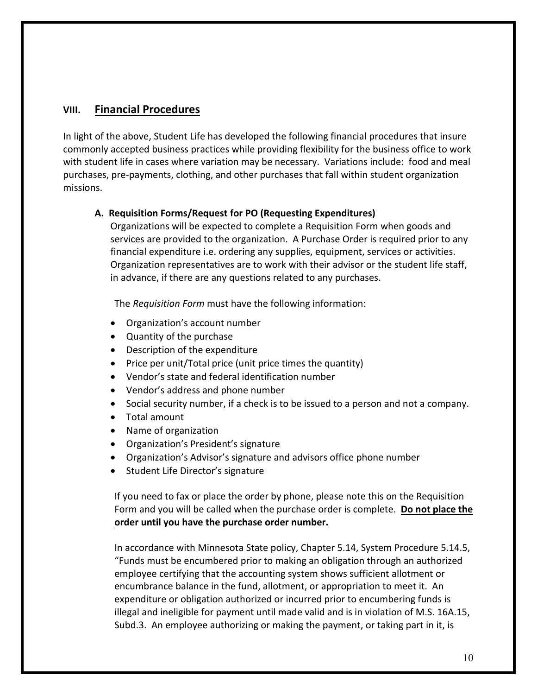## **VIII. Financial Procedures**

In light of the above, Student Life has developed the following financial procedures that insure commonly accepted business practices while providing flexibility for the business office to work with student life in cases where variation may be necessary. Variations include: food and meal purchases, pre-payments, clothing, and other purchases that fall within student organization missions.

#### **A. Requisition Forms/Request for PO (Requesting Expenditures)**

Organizations will be expected to complete a Requisition Form when goods and services are provided to the organization. A Purchase Order is required prior to any financial expenditure i.e. ordering any supplies, equipment, services or activities. Organization representatives are to work with their advisor or the student life staff, in advance, if there are any questions related to any purchases.

The *Requisition Form* must have the following information:

- Organization's account number
- Quantity of the purchase
- Description of the expenditure
- Price per unit/Total price (unit price times the quantity)
- Vendor's state and federal identification number
- Vendor's address and phone number
- Social security number, if a check is to be issued to a person and not a company.
- Total amount
- Name of organization
- Organization's President's signature
- Organization's Advisor's signature and advisors office phone number
- Student Life Director's signature

If you need to fax or place the order by phone, please note this on the Requisition Form and you will be called when the purchase order is complete. **Do not place the order until you have the purchase order number.**

In accordance with Minnesota State policy, Chapter 5.14, System Procedure 5.14.5, "Funds must be encumbered prior to making an obligation through an authorized employee certifying that the accounting system shows sufficient allotment or encumbrance balance in the fund, allotment, or appropriation to meet it. An expenditure or obligation authorized or incurred prior to encumbering funds is illegal and ineligible for payment until made valid and is in violation of M.S. 16A.15, Subd.3. An employee authorizing or making the payment, or taking part in it, is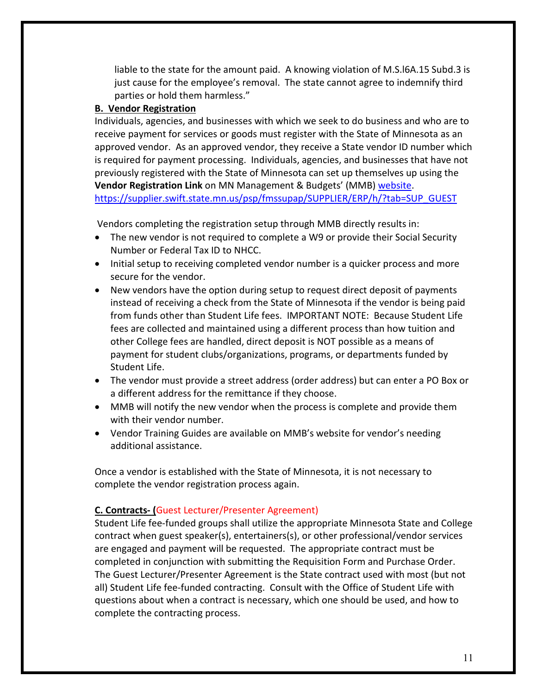liable to the state for the amount paid. A knowing violation of M.S.l6A.15 Subd.3 is just cause for the employee's removal. The state cannot agree to indemnify third parties or hold them harmless."

#### **B. Vendor Registration**

Individuals, agencies, and businesses with which we seek to do business and who are to receive payment for services or goods must register with the State of Minnesota as an approved vendor. As an approved vendor, they receive a State vendor ID number which is required for payment processing. Individuals, agencies, and businesses that have not previously registered with the State of Minnesota can set up themselves up using the **Vendor Registration Link** on MN Management & Budgets' (MMB) [website.](https://supplier.swift.state.mn.us/psp/fmssupap/SUPPLIER/ERP/h/?tab=SUP_GUEST) [https://supplier.swift.state.mn.us/psp/fmssupap/SUPPLIER/ERP/h/?tab=SUP\\_GUEST](https://supplier.swift.state.mn.us/psp/fmssupap/SUPPLIER/ERP/h/?tab=SUP_GUEST)

Vendors completing the registration setup through MMB directly results in:

- The new vendor is not required to complete a W9 or provide their Social Security Number or Federal Tax ID to NHCC.
- Initial setup to receiving completed vendor number is a quicker process and more secure for the vendor.
- New vendors have the option during setup to request direct deposit of payments instead of receiving a check from the State of Minnesota if the vendor is being paid from funds other than Student Life fees. IMPORTANT NOTE: Because Student Life fees are collected and maintained using a different process than how tuition and other College fees are handled, direct deposit is NOT possible as a means of payment for student clubs/organizations, programs, or departments funded by Student Life.
- The vendor must provide a street address (order address) but can enter a PO Box or a different address for the remittance if they choose.
- MMB will notify the new vendor when the process is complete and provide them with their vendor number.
- Vendor Training Guides are available on MMB's website for vendor's needing additional assistance.

Once a vendor is established with the State of Minnesota, it is not necessary to complete the vendor registration process again.

#### **C. Contracts- (**Guest Lecturer/Presenter Agreement)

Student Life fee-funded groups shall utilize the appropriate Minnesota State and College contract when guest speaker(s), entertainers(s), or other professional/vendor services are engaged and payment will be requested. The appropriate contract must be completed in conjunction with submitting the Requisition Form and Purchase Order. The Guest Lecturer/Presenter Agreement is the State contract used with most (but not all) Student Life fee-funded contracting. Consult with the Office of Student Life with questions about when a contract is necessary, which one should be used, and how to complete the contracting process.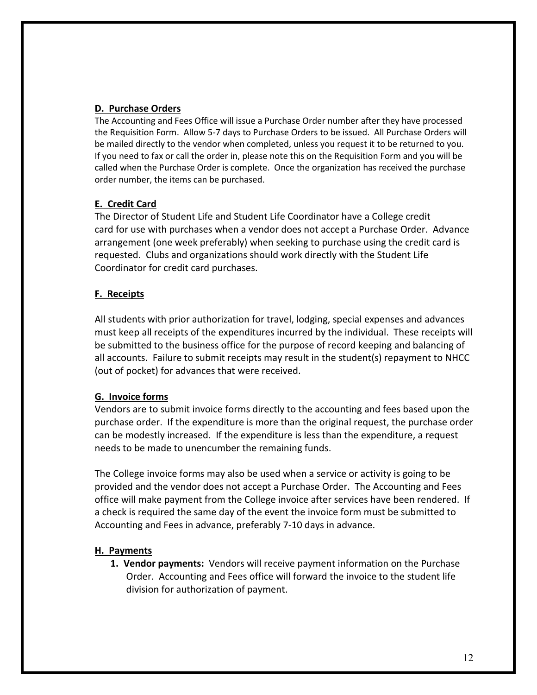#### **D. Purchase Orders**

The Accounting and Fees Office will issue a Purchase Order number after they have processed the Requisition Form. Allow 5-7 days to Purchase Orders to be issued. All Purchase Orders will be mailed directly to the vendor when completed, unless you request it to be returned to you. If you need to fax or call the order in, please note this on the Requisition Form and you will be called when the Purchase Order is complete. Once the organization has received the purchase order number, the items can be purchased.

#### **E. Credit Card**

The Director of Student Life and Student Life Coordinator have a College credit card for use with purchases when a vendor does not accept a Purchase Order. Advance arrangement (one week preferably) when seeking to purchase using the credit card is requested. Clubs and organizations should work directly with the Student Life Coordinator for credit card purchases.

#### **F. Receipts**

All students with prior authorization for travel, lodging, special expenses and advances must keep all receipts of the expenditures incurred by the individual. These receipts will be submitted to the business office for the purpose of record keeping and balancing of all accounts. Failure to submit receipts may result in the student(s) repayment to NHCC (out of pocket) for advances that were received.

#### **G. Invoice forms**

Vendors are to submit invoice forms directly to the accounting and fees based upon the purchase order. If the expenditure is more than the original request, the purchase order can be modestly increased. If the expenditure is less than the expenditure, a request needs to be made to unencumber the remaining funds.

The College invoice forms may also be used when a service or activity is going to be provided and the vendor does not accept a Purchase Order. The Accounting and Fees office will make payment from the College invoice after services have been rendered. If a check is required the same day of the event the invoice form must be submitted to Accounting and Fees in advance, preferably 7-10 days in advance.

#### **H. Payments**

**1. Vendor payments:** Vendors will receive payment information on the Purchase Order. Accounting and Fees office will forward the invoice to the student life division for authorization of payment.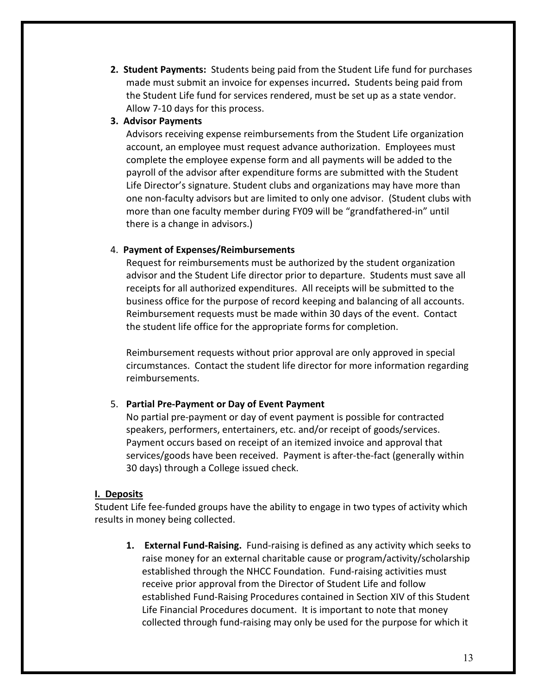**2. Student Payments:** Students being paid from the Student Life fund for purchases made must submit an invoice for expenses incurred**.** Students being paid from the Student Life fund for services rendered, must be set up as a state vendor. Allow 7-10 days for this process.

#### **3. Advisor Payments**

Advisors receiving expense reimbursements from the Student Life organization account, an employee must request advance authorization. Employees must complete the employee expense form and all payments will be added to the payroll of the advisor after expenditure forms are submitted with the Student Life Director's signature. Student clubs and organizations may have more than one non-faculty advisors but are limited to only one advisor. (Student clubs with more than one faculty member during FY09 will be "grandfathered-in" until there is a change in advisors.)

#### 4. **Payment of Expenses/Reimbursements**

Request for reimbursements must be authorized by the student organization advisor and the Student Life director prior to departure. Students must save all receipts for all authorized expenditures. All receipts will be submitted to the business office for the purpose of record keeping and balancing of all accounts. Reimbursement requests must be made within 30 days of the event. Contact the student life office for the appropriate forms for completion.

Reimbursement requests without prior approval are only approved in special circumstances. Contact the student life director for more information regarding reimbursements.

#### 5. **Partial Pre-Payment or Day of Event Payment**

No partial pre-payment or day of event payment is possible for contracted speakers, performers, entertainers, etc. and/or receipt of goods/services. Payment occurs based on receipt of an itemized invoice and approval that services/goods have been received. Payment is after-the-fact (generally within 30 days) through a College issued check.

#### **I. Deposits**

Student Life fee-funded groups have the ability to engage in two types of activity which results in money being collected.

**1. External Fund-Raising.** Fund-raising is defined as any activity which seeks to raise money for an external charitable cause or program/activity/scholarship established through the NHCC Foundation. Fund-raising activities must receive prior approval from the Director of Student Life and follow established Fund-Raising Procedures contained in Section XIV of this Student Life Financial Procedures document. It is important to note that money collected through fund-raising may only be used for the purpose for which it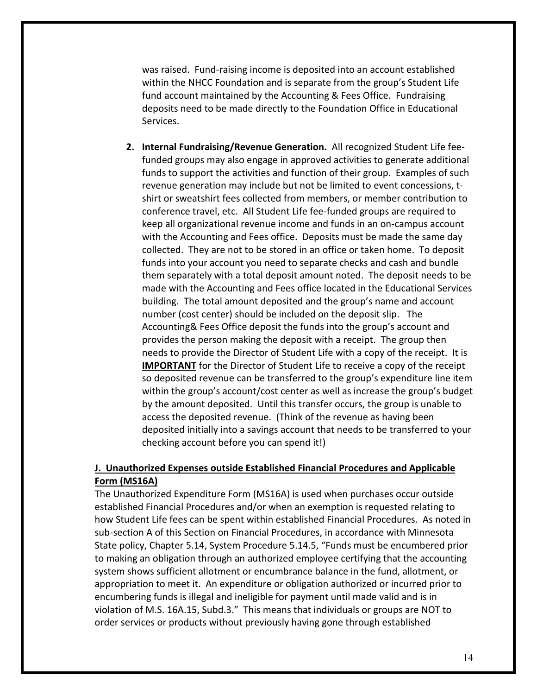was raised. Fund-raising income is deposited into an account established within the NHCC Foundation and is separate from the group's Student Life fund account maintained by the Accounting & Fees Office. Fundraising deposits need to be made directly to the Foundation Office in Educational Services.

**2. Internal Fundraising/Revenue Generation.** All recognized Student Life feefunded groups may also engage in approved activities to generate additional funds to support the activities and function of their group. Examples of such revenue generation may include but not be limited to event concessions, tshirt or sweatshirt fees collected from members, or member contribution to conference travel, etc. All Student Life fee-funded groups are required to keep all organizational revenue income and funds in an on-campus account with the Accounting and Fees office. Deposits must be made the same day collected. They are not to be stored in an office or taken home. To deposit funds into your account you need to separate checks and cash and bundle them separately with a total deposit amount noted. The deposit needs to be made with the Accounting and Fees office located in the Educational Services building. The total amount deposited and the group's name and account number (cost center) should be included on the deposit slip. The Accounting& Fees Office deposit the funds into the group's account and provides the person making the deposit with a receipt. The group then needs to provide the Director of Student Life with a copy of the receipt. It is **IMPORTANT** for the Director of Student Life to receive a copy of the receipt so deposited revenue can be transferred to the group's expenditure line item within the group's account/cost center as well as increase the group's budget by the amount deposited. Until this transfer occurs, the group is unable to access the deposited revenue. (Think of the revenue as having been deposited initially into a savings account that needs to be transferred to your checking account before you can spend it!)

#### **J. Unauthorized Expenses outside Established Financial Procedures and Applicable Form (MS16A)**

The Unauthorized Expenditure Form (MS16A) is used when purchases occur outside established Financial Procedures and/or when an exemption is requested relating to how Student Life fees can be spent within established Financial Procedures. As noted in sub-section A of this Section on Financial Procedures, in accordance with Minnesota State policy, Chapter 5.14, System Procedure 5.14.5, "Funds must be encumbered prior to making an obligation through an authorized employee certifying that the accounting system shows sufficient allotment or encumbrance balance in the fund, allotment, or appropriation to meet it. An expenditure or obligation authorized or incurred prior to encumbering funds is illegal and ineligible for payment until made valid and is in violation of M.S. 16A.15, Subd.3." This means that individuals or groups are NOT to order services or products without previously having gone through established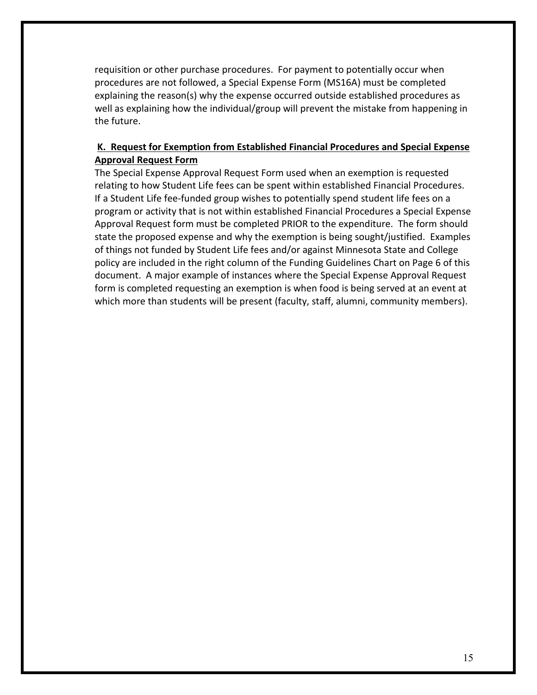requisition or other purchase procedures. For payment to potentially occur when procedures are not followed, a Special Expense Form (MS16A) must be completed explaining the reason(s) why the expense occurred outside established procedures as well as explaining how the individual/group will prevent the mistake from happening in the future.

# **K. Request for Exemption from Established Financial Procedures and Special Expense Approval Request Form**

The Special Expense Approval Request Form used when an exemption is requested relating to how Student Life fees can be spent within established Financial Procedures. If a Student Life fee-funded group wishes to potentially spend student life fees on a program or activity that is not within established Financial Procedures a Special Expense Approval Request form must be completed PRIOR to the expenditure. The form should state the proposed expense and why the exemption is being sought/justified. Examples of things not funded by Student Life fees and/or against Minnesota State and College policy are included in the right column of the Funding Guidelines Chart on Page 6 of this document. A major example of instances where the Special Expense Approval Request form is completed requesting an exemption is when food is being served at an event at which more than students will be present (faculty, staff, alumni, community members).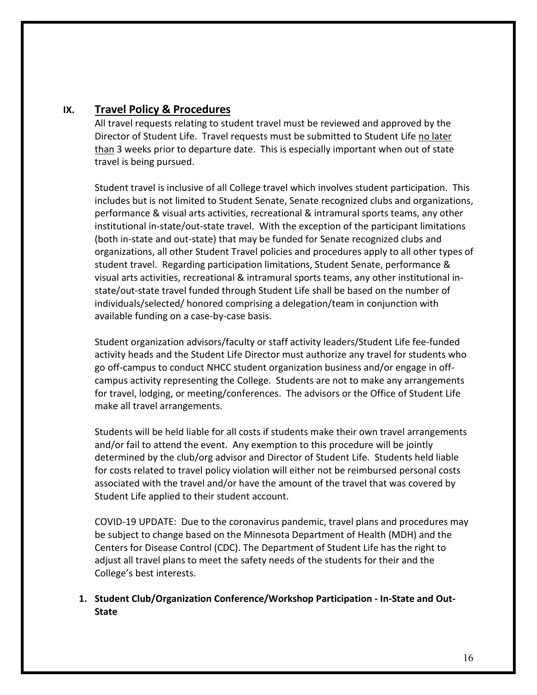# **IX. Travel Policy & Procedures**

All travel requests relating to student travel must be reviewed and approved by the Director of Student Life. Travel requests must be submitted to Student Life no later than 3 weeks prior to departure date. This is especially important when out of state travel is being pursued.

Student travel is inclusive of all College travel which involves student participation. This includes but is not limited to Student Senate, Senate recognized clubs and organizations, performance & visual arts activities, recreational & intramural sports teams, any other institutional in-state/out-state travel. With the exception of the participant limitations (both in-state and out-state) that may be funded for Senate recognized clubs and organizations, all other Student Travel policies and procedures apply to all other types of student travel. Regarding participation limitations, Student Senate, performance & visual arts activities, recreational & intramural sports teams, any other institutional instate/out-state travel funded through Student Life shall be based on the number of individuals/selected/ honored comprising a delegation/team in conjunction with available funding on a case-by-case basis.

Student organization advisors/faculty or staff activity leaders/Student Life fee-funded activity heads and the Student Life Director must authorize any travel for students who go off-campus to conduct NHCC student organization business and/or engage in offcampus activity representing the College. Students are not to make any arrangements for travel, lodging, or meeting/conferences. The advisors or the Office of Student Life make all travel arrangements.

Students will be held liable for all costs if students make their own travel arrangements and/or fail to attend the event. Any exemption to this procedure will be jointly determined by the club/org advisor and Director of Student Life. Students held liable for costs related to travel policy violation will either not be reimbursed personal costs associated with the travel and/or have the amount of the travel that was covered by Student Life applied to their student account.

COVID-19 UPDATE: Due to the coronavirus pandemic, travel plans and procedures may be subject to change based on the Minnesota Department of Health (MDH) and the Centers for Disease Control (CDC). The Department of Student Life has the right to adjust all travel plans to meet the safety needs of the students for their and the College's best interests.

**1. Student Club/Organization Conference/Workshop Participation - In-State and Out-State**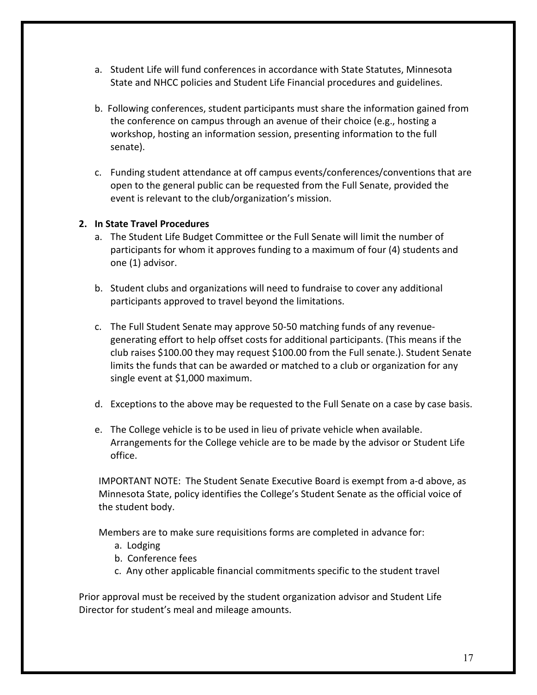- a. Student Life will fund conferences in accordance with State Statutes, Minnesota State and NHCC policies and Student Life Financial procedures and guidelines.
- b. Following conferences, student participants must share the information gained from the conference on campus through an avenue of their choice (e.g., hosting a workshop, hosting an information session, presenting information to the full senate).
- c. Funding student attendance at off campus events/conferences/conventions that are open to the general public can be requested from the Full Senate, provided the event is relevant to the club/organization's mission.

#### **2. In State Travel Procedures**

- a. The Student Life Budget Committee or the Full Senate will limit the number of participants for whom it approves funding to a maximum of four (4) students and one (1) advisor.
- b. Student clubs and organizations will need to fundraise to cover any additional participants approved to travel beyond the limitations.
- c. The Full Student Senate may approve 50-50 matching funds of any revenuegenerating effort to help offset costs for additional participants. (This means if the club raises \$100.00 they may request \$100.00 from the Full senate.). Student Senate limits the funds that can be awarded or matched to a club or organization for any single event at \$1,000 maximum.
- d. Exceptions to the above may be requested to the Full Senate on a case by case basis.
- e. The College vehicle is to be used in lieu of private vehicle when available. Arrangements for the College vehicle are to be made by the advisor or Student Life office.

IMPORTANT NOTE: The Student Senate Executive Board is exempt from a-d above, as Minnesota State, policy identifies the College's Student Senate as the official voice of the student body.

Members are to make sure requisitions forms are completed in advance for:

- a. Lodging
- b. Conference fees
- c. Any other applicable financial commitments specific to the student travel

Prior approval must be received by the student organization advisor and Student Life Director for student's meal and mileage amounts.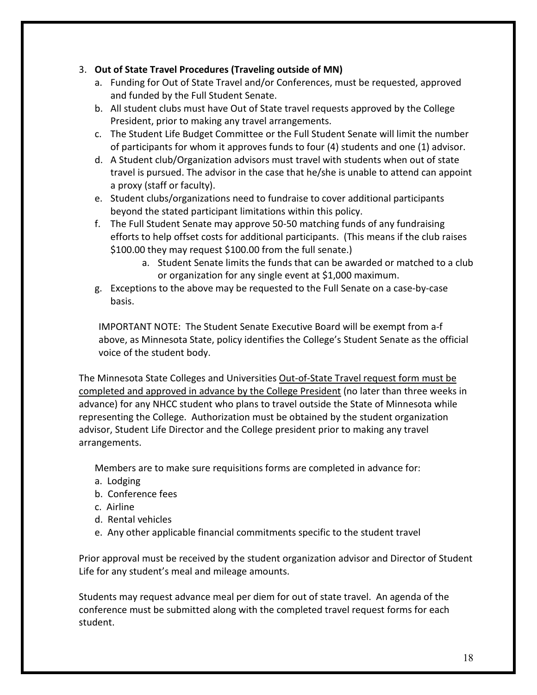#### 3. **Out of State Travel Procedures (Traveling outside of MN)**

- a. Funding for Out of State Travel and/or Conferences, must be requested, approved and funded by the Full Student Senate.
- b. All student clubs must have Out of State travel requests approved by the College President, prior to making any travel arrangements.
- c. The Student Life Budget Committee or the Full Student Senate will limit the number of participants for whom it approves funds to four (4) students and one (1) advisor.
- d. A Student club/Organization advisors must travel with students when out of state travel is pursued. The advisor in the case that he/she is unable to attend can appoint a proxy (staff or faculty).
- e. Student clubs/organizations need to fundraise to cover additional participants beyond the stated participant limitations within this policy.
- f. The Full Student Senate may approve 50-50 matching funds of any fundraising efforts to help offset costs for additional participants. (This means if the club raises \$100.00 they may request \$100.00 from the full senate.)
	- a. Student Senate limits the funds that can be awarded or matched to a club or organization for any single event at \$1,000 maximum.
- g. Exceptions to the above may be requested to the Full Senate on a case-by-case basis.

IMPORTANT NOTE: The Student Senate Executive Board will be exempt from a-f above, as Minnesota State, policy identifies the College's Student Senate as the official voice of the student body.

The Minnesota State Colleges and Universities Out-of-State Travel request form must be completed and approved in advance by the College President (no later than three weeks in advance) for any NHCC student who plans to travel outside the State of Minnesota while representing the College. Authorization must be obtained by the student organization advisor, Student Life Director and the College president prior to making any travel arrangements.

Members are to make sure requisitions forms are completed in advance for:

- a. Lodging
- b. Conference fees
- c. Airline
- d. Rental vehicles
- e. Any other applicable financial commitments specific to the student travel

Prior approval must be received by the student organization advisor and Director of Student Life for any student's meal and mileage amounts.

Students may request advance meal per diem for out of state travel. An agenda of the conference must be submitted along with the completed travel request forms for each student.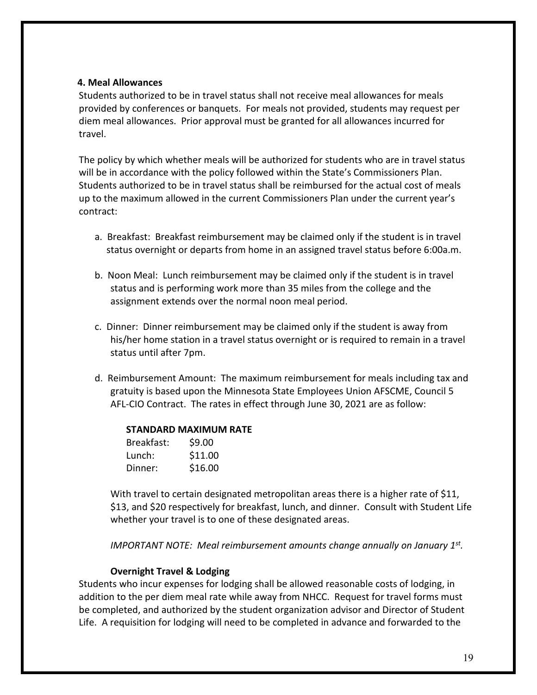#### **4. Meal Allowances**

Students authorized to be in travel status shall not receive meal allowances for meals provided by conferences or banquets. For meals not provided, students may request per diem meal allowances. Prior approval must be granted for all allowances incurred for travel.

The policy by which whether meals will be authorized for students who are in travel status will be in accordance with the policy followed within the State's Commissioners Plan. Students authorized to be in travel status shall be reimbursed for the actual cost of meals up to the maximum allowed in the current Commissioners Plan under the current year's contract:

- a. Breakfast: Breakfast reimbursement may be claimed only if the student is in travel status overnight or departs from home in an assigned travel status before 6:00a.m.
- b. Noon Meal: Lunch reimbursement may be claimed only if the student is in travel status and is performing work more than 35 miles from the college and the assignment extends over the normal noon meal period.
- c. Dinner: Dinner reimbursement may be claimed only if the student is away from his/her home station in a travel status overnight or is required to remain in a travel status until after 7pm.
- d. Reimbursement Amount: The maximum reimbursement for meals including tax and gratuity is based upon the Minnesota State Employees Union AFSCME, Council 5 AFL-CIO Contract. The rates in effect through June 30, 2021 are as follow:

#### **STANDARD MAXIMUM RATE**

| Breakfast: | \$9.00  |
|------------|---------|
| Lunch:     | \$11.00 |
| Dinner:    | \$16.00 |

With travel to certain designated metropolitan areas there is a higher rate of \$11, \$13, and \$20 respectively for breakfast, lunch, and dinner. Consult with Student Life whether your travel is to one of these designated areas.

*IMPORTANT NOTE: Meal reimbursement amounts change annually on January 1st.* 

#### **Overnight Travel & Lodging**

Students who incur expenses for lodging shall be allowed reasonable costs of lodging, in addition to the per diem meal rate while away from NHCC. Request for travel forms must be completed, and authorized by the student organization advisor and Director of Student Life. A requisition for lodging will need to be completed in advance and forwarded to the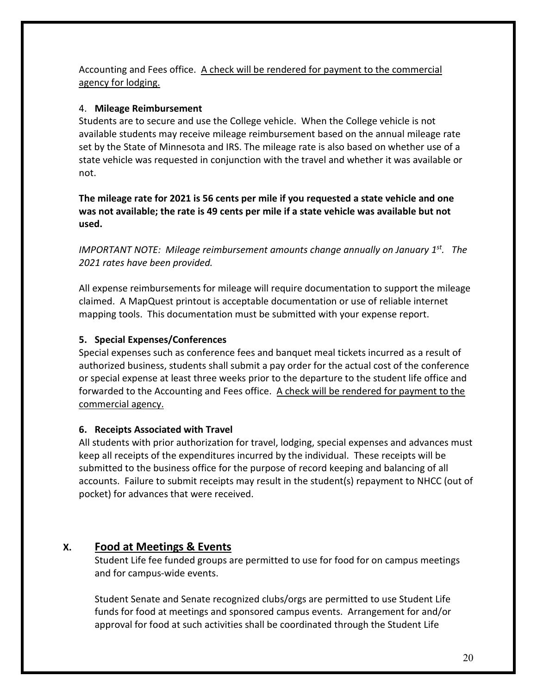Accounting and Fees office. A check will be rendered for payment to the commercial agency for lodging.

## 4. **Mileage Reimbursement**

Students are to secure and use the College vehicle. When the College vehicle is not available students may receive mileage reimbursement based on the annual mileage rate set by the State of Minnesota and IRS. The mileage rate is also based on whether use of a state vehicle was requested in conjunction with the travel and whether it was available or not.

**The mileage rate for 2021 is 56 cents per mile if you requested a state vehicle and one was not available; the rate is 49 cents per mile if a state vehicle was available but not used.**

*IMPORTANT NOTE: Mileage reimbursement amounts change annually on January 1st. The 2021 rates have been provided.*

All expense reimbursements for mileage will require documentation to support the mileage claimed. A MapQuest printout is acceptable documentation or use of reliable internet mapping tools. This documentation must be submitted with your expense report.

# **5. Special Expenses/Conferences**

Special expenses such as conference fees and banquet meal tickets incurred as a result of authorized business, students shall submit a pay order for the actual cost of the conference or special expense at least three weeks prior to the departure to the student life office and forwarded to the Accounting and Fees office. A check will be rendered for payment to the commercial agency.

# **6. Receipts Associated with Travel**

All students with prior authorization for travel, lodging, special expenses and advances must keep all receipts of the expenditures incurred by the individual. These receipts will be submitted to the business office for the purpose of record keeping and balancing of all accounts. Failure to submit receipts may result in the student(s) repayment to NHCC (out of pocket) for advances that were received.

# **X. Food at Meetings & Events**

Student Life fee funded groups are permitted to use for food for on campus meetings and for campus-wide events.

Student Senate and Senate recognized clubs/orgs are permitted to use Student Life funds for food at meetings and sponsored campus events. Arrangement for and/or approval for food at such activities shall be coordinated through the Student Life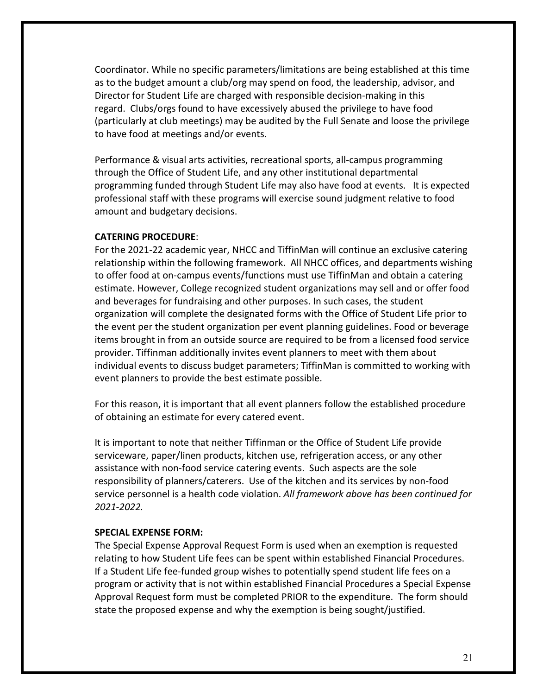Coordinator. While no specific parameters/limitations are being established at this time as to the budget amount a club/org may spend on food, the leadership, advisor, and Director for Student Life are charged with responsible decision-making in this regard. Clubs/orgs found to have excessively abused the privilege to have food (particularly at club meetings) may be audited by the Full Senate and loose the privilege to have food at meetings and/or events.

Performance & visual arts activities, recreational sports, all-campus programming through the Office of Student Life, and any other institutional departmental programming funded through Student Life may also have food at events. It is expected professional staff with these programs will exercise sound judgment relative to food amount and budgetary decisions.

#### **CATERING PROCEDURE**:

For the 2021-22 academic year, NHCC and TiffinMan will continue an exclusive catering relationship within the following framework. All NHCC offices, and departments wishing to offer food at on-campus events/functions must use TiffinMan and obtain a catering estimate. However, College recognized student organizations may sell and or offer food and beverages for fundraising and other purposes. In such cases, the student organization will complete the designated forms with the Office of Student Life prior to the event per the student organization per event planning guidelines. Food or beverage items brought in from an outside source are required to be from a licensed food service provider. Tiffinman additionally invites event planners to meet with them about individual events to discuss budget parameters; TiffinMan is committed to working with event planners to provide the best estimate possible.

For this reason, it is important that all event planners follow the established procedure of obtaining an estimate for every catered event.

It is important to note that neither Tiffinman or the Office of Student Life provide serviceware, paper/linen products, kitchen use, refrigeration access, or any other assistance with non-food service catering events. Such aspects are the sole responsibility of planners/caterers. Use of the kitchen and its services by non-food service personnel is a health code violation. *All framework above has been continued for 2021-2022.*

#### **SPECIAL EXPENSE FORM:**

The Special Expense Approval Request Form is used when an exemption is requested relating to how Student Life fees can be spent within established Financial Procedures. If a Student Life fee-funded group wishes to potentially spend student life fees on a program or activity that is not within established Financial Procedures a Special Expense Approval Request form must be completed PRIOR to the expenditure. The form should state the proposed expense and why the exemption is being sought/justified.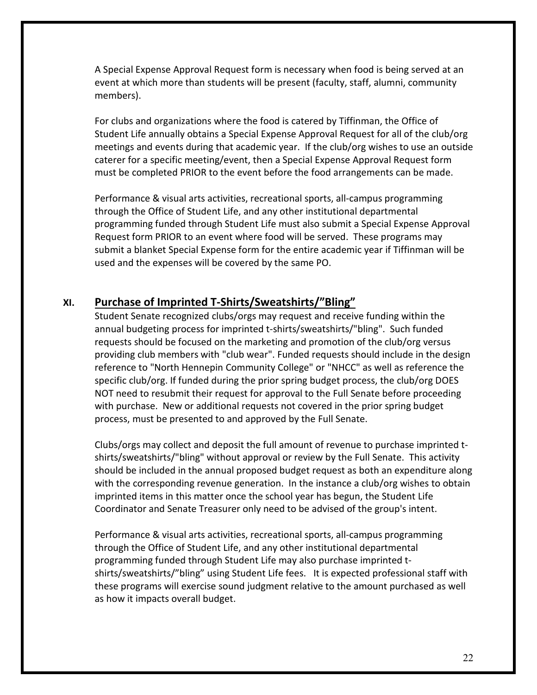A Special Expense Approval Request form is necessary when food is being served at an event at which more than students will be present (faculty, staff, alumni, community members).

For clubs and organizations where the food is catered by Tiffinman, the Office of Student Life annually obtains a Special Expense Approval Request for all of the club/org meetings and events during that academic year. If the club/org wishes to use an outside caterer for a specific meeting/event, then a Special Expense Approval Request form must be completed PRIOR to the event before the food arrangements can be made.

Performance & visual arts activities, recreational sports, all-campus programming through the Office of Student Life, and any other institutional departmental programming funded through Student Life must also submit a Special Expense Approval Request form PRIOR to an event where food will be served. These programs may submit a blanket Special Expense form for the entire academic year if Tiffinman will be used and the expenses will be covered by the same PO.

# **XI. Purchase of Imprinted T-Shirts/Sweatshirts/"Bling"**

Student Senate recognized clubs/orgs may request and receive funding within the annual budgeting process for imprinted t-shirts/sweatshirts/"bling". Such funded requests should be focused on the marketing and promotion of the club/org versus providing club members with "club wear". Funded requests should include in the design reference to "North Hennepin Community College" or "NHCC" as well as reference the specific club/org. If funded during the prior spring budget process, the club/org DOES NOT need to resubmit their request for approval to the Full Senate before proceeding with purchase. New or additional requests not covered in the prior spring budget process, must be presented to and approved by the Full Senate.

Clubs/orgs may collect and deposit the full amount of revenue to purchase imprinted tshirts/sweatshirts/"bling" without approval or review by the Full Senate. This activity should be included in the annual proposed budget request as both an expenditure along with the corresponding revenue generation. In the instance a club/org wishes to obtain imprinted items in this matter once the school year has begun, the Student Life Coordinator and Senate Treasurer only need to be advised of the group's intent.

Performance & visual arts activities, recreational sports, all-campus programming through the Office of Student Life, and any other institutional departmental programming funded through Student Life may also purchase imprinted tshirts/sweatshirts/"bling" using Student Life fees. It is expected professional staff with these programs will exercise sound judgment relative to the amount purchased as well as how it impacts overall budget.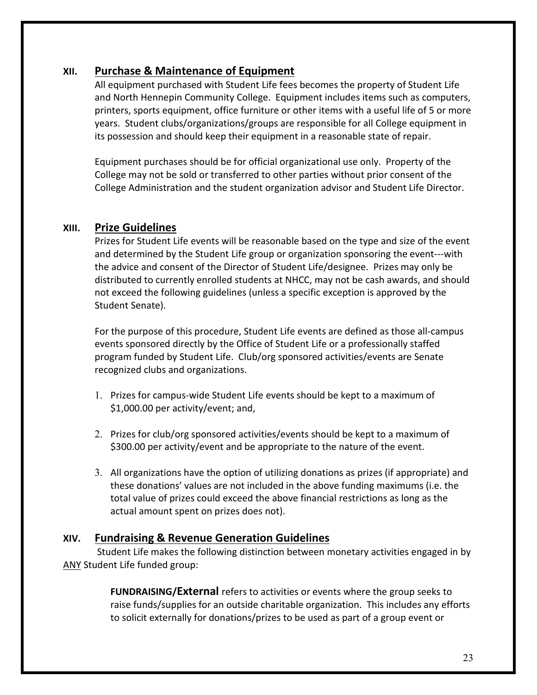# **XII. Purchase & Maintenance of Equipment**

All equipment purchased with Student Life fees becomes the property of Student Life and North Hennepin Community College. Equipment includes items such as computers, printers, sports equipment, office furniture or other items with a useful life of 5 or more years. Student clubs/organizations/groups are responsible for all College equipment in its possession and should keep their equipment in a reasonable state of repair.

Equipment purchases should be for official organizational use only. Property of the College may not be sold or transferred to other parties without prior consent of the College Administration and the student organization advisor and Student Life Director.

# **XIII. Prize Guidelines**

Prizes for Student Life events will be reasonable based on the type and size of the event and determined by the Student Life group or organization sponsoring the event---with the advice and consent of the Director of Student Life/designee. Prizes may only be distributed to currently enrolled students at NHCC, may not be cash awards, and should not exceed the following guidelines (unless a specific exception is approved by the Student Senate).

For the purpose of this procedure, Student Life events are defined as those all-campus events sponsored directly by the Office of Student Life or a professionally staffed program funded by Student Life. Club/org sponsored activities/events are Senate recognized clubs and organizations.

- 1. Prizes for campus-wide Student Life events should be kept to a maximum of \$1,000.00 per activity/event; and,
- 2. Prizes for club/org sponsored activities/events should be kept to a maximum of \$300.00 per activity/event and be appropriate to the nature of the event.
- 3. All organizations have the option of utilizing donations as prizes (if appropriate) and these donations' values are not included in the above funding maximums (i.e. the total value of prizes could exceed the above financial restrictions as long as the actual amount spent on prizes does not).

# **XIV. Fundraising & Revenue Generation Guidelines**

Student Life makes the following distinction between monetary activities engaged in by ANY Student Life funded group:

> **FUNDRAISING/External** refers to activities or events where the group seeks to raise funds/supplies for an outside charitable organization. This includes any efforts to solicit externally for donations/prizes to be used as part of a group event or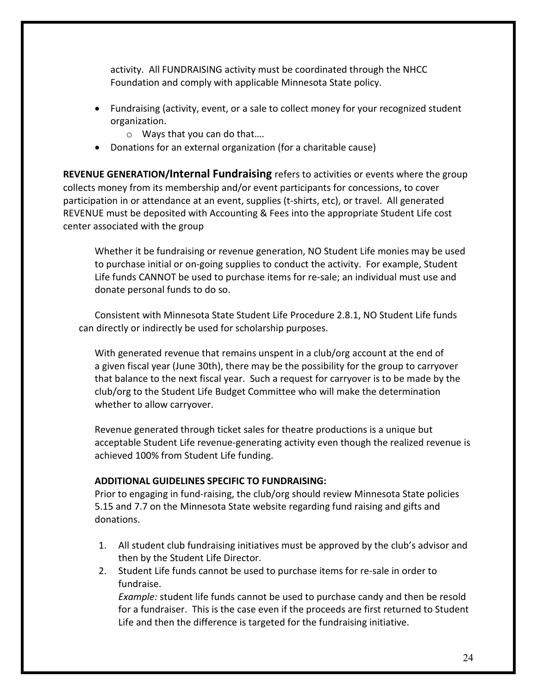activity. All FUNDRAISING activity must be coordinated through the NHCC Foundation and comply with applicable Minnesota State policy.

- Fundraising (activity, event, or a sale to collect money for your recognized student organization.
	- o Ways that you can do that….
- Donations for an external organization (for a charitable cause)

**REVENUE GENERATION/Internal Fundraising** refers to activities or events where the group collects money from its membership and/or event participants for concessions, to cover participation in or attendance at an event, supplies (t-shirts, etc), or travel. All generated REVENUE must be deposited with Accounting & Fees into the appropriate Student Life cost center associated with the group

Whether it be fundraising or revenue generation, NO Student Life monies may be used to purchase initial or on-going supplies to conduct the activity. For example, Student Life funds CANNOT be used to purchase items for re-sale; an individual must use and donate personal funds to do so.

Consistent with Minnesota State Student Life Procedure 2.8.1, NO Student Life funds can directly or indirectly be used for scholarship purposes.

With generated revenue that remains unspent in a club/org account at the end of a given fiscal year (June 30th), there may be the possibility for the group to carryover that balance to the next fiscal year. Such a request for carryover is to be made by the club/org to the Student Life Budget Committee who will make the determination whether to allow carryover.

Revenue generated through ticket sales for theatre productions is a unique but acceptable Student Life revenue-generating activity even though the realized revenue is achieved 100% from Student Life funding.

#### **ADDITIONAL GUIDELINES SPECIFIC TO FUNDRAISING:**

Prior to engaging in fund-raising, the club/org should review Minnesota State policies 5.15 and 7.7 on the Minnesota State website regarding fund raising and gifts and donations.

- 1. All student club fundraising initiatives must be approved by the club's advisor and then by the Student Life Director.
- 2. Student Life funds cannot be used to purchase items for re-sale in order to fundraise.

*Example:* student life funds cannot be used to purchase candy and then be resold for a fundraiser. This is the case even if the proceeds are first returned to Student Life and then the difference is targeted for the fundraising initiative.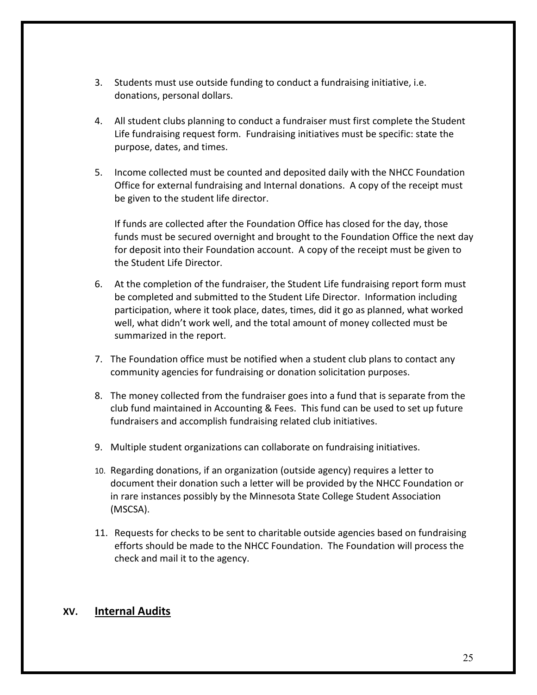- 3. Students must use outside funding to conduct a fundraising initiative, i.e. donations, personal dollars.
- 4. All student clubs planning to conduct a fundraiser must first complete the Student Life fundraising request form. Fundraising initiatives must be specific: state the purpose, dates, and times.
- 5. Income collected must be counted and deposited daily with the NHCC Foundation Office for external fundraising and Internal donations. A copy of the receipt must be given to the student life director.

If funds are collected after the Foundation Office has closed for the day, those funds must be secured overnight and brought to the Foundation Office the next day for deposit into their Foundation account. A copy of the receipt must be given to the Student Life Director.

- 6. At the completion of the fundraiser, the Student Life fundraising report form must be completed and submitted to the Student Life Director. Information including participation, where it took place, dates, times, did it go as planned, what worked well, what didn't work well, and the total amount of money collected must be summarized in the report.
- 7. The Foundation office must be notified when a student club plans to contact any community agencies for fundraising or donation solicitation purposes.
- 8. The money collected from the fundraiser goes into a fund that is separate from the club fund maintained in Accounting & Fees. This fund can be used to set up future fundraisers and accomplish fundraising related club initiatives.
- 9. Multiple student organizations can collaborate on fundraising initiatives.
- 10. Regarding donations, if an organization (outside agency) requires a letter to document their donation such a letter will be provided by the NHCC Foundation or in rare instances possibly by the Minnesota State College Student Association (MSCSA).
- 11. Requests for checks to be sent to charitable outside agencies based on fundraising efforts should be made to the NHCC Foundation. The Foundation will process the check and mail it to the agency.

#### **XV. Internal Audits**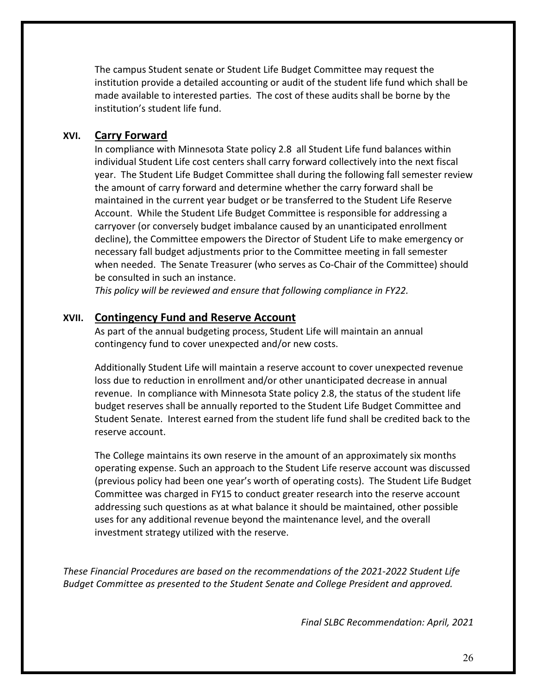The campus Student senate or Student Life Budget Committee may request the institution provide a detailed accounting or audit of the student life fund which shall be made available to interested parties. The cost of these audits shall be borne by the institution's student life fund.

#### **XVI. Carry Forward**

In compliance with Minnesota State policy 2.8 all Student Life fund balances within individual Student Life cost centers shall carry forward collectively into the next fiscal year. The Student Life Budget Committee shall during the following fall semester review the amount of carry forward and determine whether the carry forward shall be maintained in the current year budget or be transferred to the Student Life Reserve Account. While the Student Life Budget Committee is responsible for addressing a carryover (or conversely budget imbalance caused by an unanticipated enrollment decline), the Committee empowers the Director of Student Life to make emergency or necessary fall budget adjustments prior to the Committee meeting in fall semester when needed. The Senate Treasurer (who serves as Co-Chair of the Committee) should be consulted in such an instance.

*This policy will be reviewed and ensure that following compliance in FY22.*

#### **XVII. Contingency Fund and Reserve Account**

As part of the annual budgeting process, Student Life will maintain an annual contingency fund to cover unexpected and/or new costs.

Additionally Student Life will maintain a reserve account to cover unexpected revenue loss due to reduction in enrollment and/or other unanticipated decrease in annual revenue. In compliance with Minnesota State policy 2.8, the status of the student life budget reserves shall be annually reported to the Student Life Budget Committee and Student Senate. Interest earned from the student life fund shall be credited back to the reserve account.

The College maintains its own reserve in the amount of an approximately six months operating expense. Such an approach to the Student Life reserve account was discussed (previous policy had been one year's worth of operating costs). The Student Life Budget Committee was charged in FY15 to conduct greater research into the reserve account addressing such questions as at what balance it should be maintained, other possible uses for any additional revenue beyond the maintenance level, and the overall investment strategy utilized with the reserve.

*These Financial Procedures are based on the recommendations of the 2021-2022 Student Life Budget Committee as presented to the Student Senate and College President and approved.*

*Final SLBC Recommendation: April, 2021*